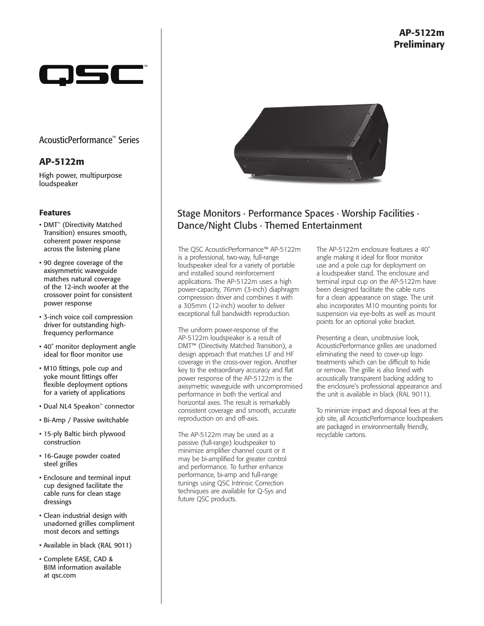

## AcousticPerformance™ Series

## AP-5122m

High power, multipurpose loudspeaker

#### Features

- DMT™ (Directivity Matched Transition) ensures smooth, coherent power response across the listening plane
- 90 degree coverage of the axisymmetric waveguide matches natural coverage of the 12-inch woofer at the crossover point for consistent power response
- 3-inch voice coil compression driver for outstanding highfrequency performance
- 40˚ monitor deployment angle ideal for floor monitor use
- M10 fittings, pole cup and yoke mount fittings offer flexible deployment options for a variety of applications
- Dual NL4 Speakon™ connector
- Bi-Amp / Passive switchable
- 15-ply Baltic birch plywood construction
- 16-Gauge powder coated steel grilles
- Enclosure and terminal input cup designed facilitate the cable runs for clean stage dressings
- Clean industrial design with unadorned grilles compliment most decors and settings
- Available in black (RAL 9011)
- Complete EASE, CAD & BIM information available at qsc.com



# Stage Monitors ∙ Performance Spaces ∙ Worship Facilities ∙ Dance/Night Clubs ∙ Themed Entertainment

The QSC AcousticPerformance™ AP-5122m is a professional, two-way, full-range loudspeaker ideal for a variety of portable and installed sound reinforcement applications. The AP-5122m uses a high power-capacity, 76mm (3-inch) diaphragm compression driver and combines it with a 305mm (12-inch) woofer to deliver exceptional full bandwidth reproduction.

The uniform power-response of the AP-5122m loudspeaker is a result of DMT™ (Directivity Matched Transition), a design approach that matches LF and HF coverage in the cross-over region. Another key to the extraordinary accuracy and flat power response of the AP-5122m is the axisymetric waveguide with uncompromised performance in both the vertical and horizontal axes. The result is remarkably consistent coverage and smooth, accurate reproduction on and off-axis.

The AP-5122m may be used as a passive (full-range) loudspeaker to minimize amplifier channel count or it may be bi-amplified for greater control and performance. To further enhance performance, bi-amp and full-range tunings using QSC Intrinsic Correction techniques are available for Q-Sys and future QSC products.

The AP-5122m enclosure features a 40˚ angle making it ideal for floor monitor use and a pole cup for deployment on a loudspeaker stand. The enclosure and terminal input cup on the AP-5122m have been designed facilitate the cable runs for a clean appearance on stage. The unit also incorporates M10 mounting points for suspension via eye-bolts as well as mount points for an optional yoke bracket.

Presenting a clean, unobtrusive look, AcousticPerformance grilles are unadorned eliminating the need to cover-up logo treatments which can be difficult to hide or remove. The grille is also lined with acoustically transparent backing adding to the enclosure's professional appearance and the unit is available in black (RAL 9011).

To minimize impact and disposal fees at the job site, all AcousticPerformance loudspeakers are packaged in environmentally friendly, recyclable cartons.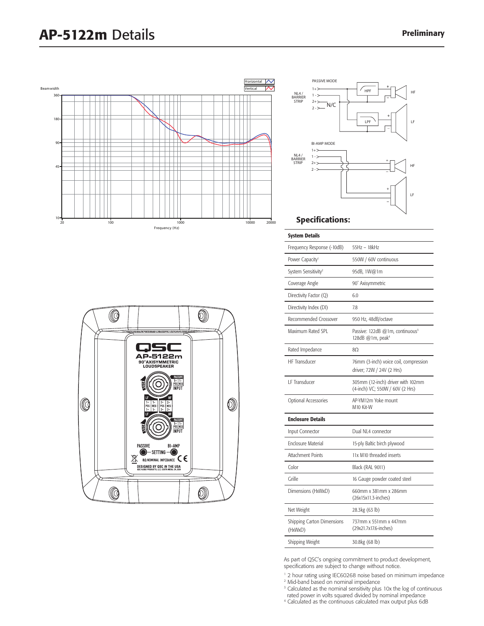# AP-5122m Details Preliminary







### Specifications:

| <b>System Details</b>                        |                                                                             |
|----------------------------------------------|-----------------------------------------------------------------------------|
| Frequency Response (-10dB)                   | 55Hz - 18kHz                                                                |
| Power Capacity <sup>1</sup>                  | 550W / 60V continuous                                                       |
| System Sensitivity <sup>2</sup>              | 95dB, 1W@1m                                                                 |
| Coverage Angle                               | 90° Axisymmetric                                                            |
| Directivity Factor (Q)                       | 6.0                                                                         |
| Directivity Index (DI)                       | 7.8                                                                         |
| Recommended Crossover                        | 950 Hz, 48dB/octave                                                         |
| Maximum Rated SPL                            | Passive: 122dB @1m, continuous <sup>3</sup><br>128dB @1m, peak <sup>4</sup> |
| Rated Impedance                              | 80                                                                          |
| <b>HF Transducer</b>                         | 76mm (3-inch) voice coil, compression<br>driver; 72W / 24V (2 Hrs)          |
| I F Transducer                               | 305mm (12-inch) driver with 102mm<br>(4-inch) VC; 550W / 60V (2 Hrs)        |
| Optional Accessories                         | AP-YM12m Yoke mount<br>M <sub>10</sub> Kit-W                                |
| <b>Enclosure Details</b>                     |                                                                             |
| Input Connector                              | Dual NL4 connector                                                          |
| <b>Enclosure Material</b>                    | 15-ply Baltic birch plywood                                                 |
| Attachment Points                            | 11x M10 threaded inserts                                                    |
| Color                                        | Black (RAL 9011)                                                            |
| Grille                                       | 16 Gauge powder coated steel                                                |
| Dimensions (HxWxD)                           | 660mm x 381mm x 286mm<br>$(26x15x11.3\text{-inches})$                       |
| Net Weight                                   | 28.3kg (63 lb)                                                              |
| <b>Shipping Carton Dimensions</b><br>(HxWxD) | 737mm x 551mm x 447mm<br>(29x21.7x17.6-inches)                              |
| Shipping Weight                              | 30.8kg (68 lb)                                                              |

As part of QSC's ongoing commitment to product development, specifications are subject to change without notice.

<sup>1</sup> 2 hour rating using IEC60268 noise based on minimum impedance

<sup>2</sup> Mid-band based on nominal impedance

 $\overline{a}$ 

<sup>3</sup> Calculated as the nominal sensitivity plus 10x the log of continuous rated power in volts squared divided by nominal impedance

4 Calculated as the continuous calculated max output plus 6dB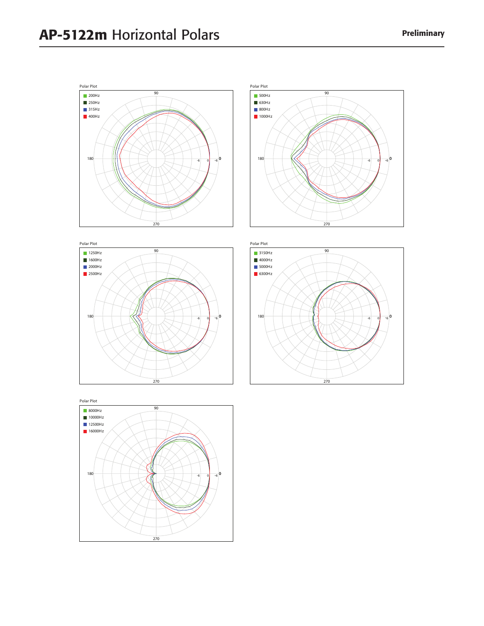